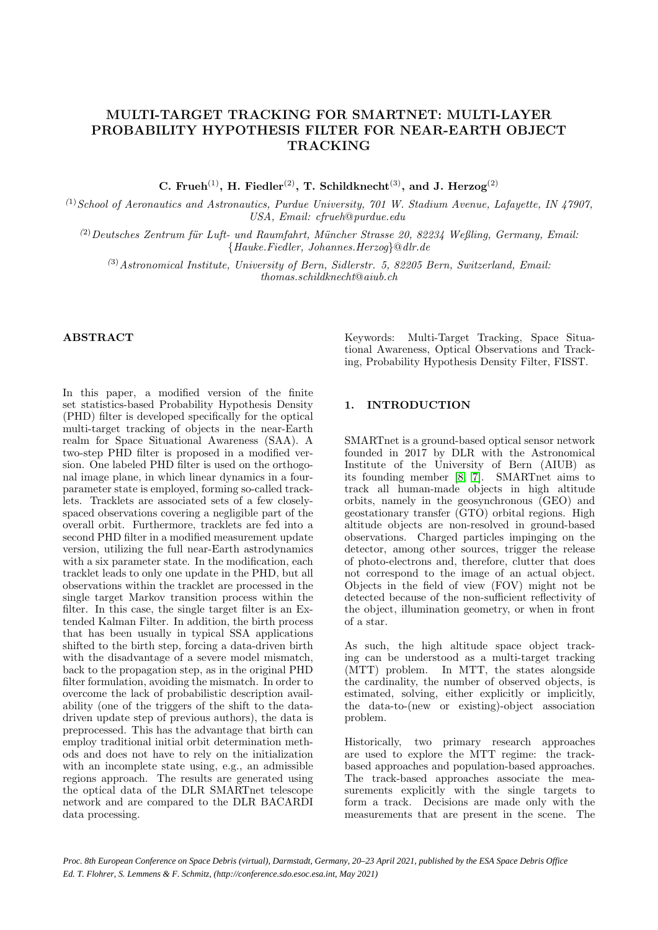# MULTI-TARGET TRACKING FOR SMARTNET: MULTI-LAYER PROBABILITY HYPOTHESIS FILTER FOR NEAR-EARTH OBJECT TRACKING

C. Frueh<sup>(1)</sup>, H. Fiedler<sup>(2)</sup>, T. Schildknecht<sup>(3)</sup>, and J. Herzog<sup>(2)</sup>

 $^{(1)}$  School of Aeronautics and Astronautics, Purdue University, 701 W. Stadium Avenue, Lafayette, IN 47907, USA, Email: cfrueh@purdue.edu

 $(2)$ Deutsches Zentrum für Luft- und Raumfahrt, Müncher Strasse 20, 82234 Weßling, Germany, Email: {Hauke.Fiedler, Johannes.Herzog}@dlr.de

 $^{(3)}$ Astronomical Institute, University of Bern, Sidlerstr. 5, 82205 Bern, Switzerland, Email: thomas.schildknecht@aiub.ch

#### ABSTRACT

In this paper, a modified version of the finite set statistics-based Probability Hypothesis Density (PHD) filter is developed specifically for the optical multi-target tracking of objects in the near-Earth realm for Space Situational Awareness (SAA). A two-step PHD filter is proposed in a modified version. One labeled PHD filter is used on the orthogonal image plane, in which linear dynamics in a fourparameter state is employed, forming so-called tracklets. Tracklets are associated sets of a few closelyspaced observations covering a negligible part of the overall orbit. Furthermore, tracklets are fed into a second PHD filter in a modified measurement update version, utilizing the full near-Earth astrodynamics with a six parameter state. In the modification, each tracklet leads to only one update in the PHD, but all observations within the tracklet are processed in the single target Markov transition process within the filter. In this case, the single target filter is an Extended Kalman Filter. In addition, the birth process that has been usually in typical SSA applications shifted to the birth step, forcing a data-driven birth with the disadvantage of a severe model mismatch, back to the propagation step, as in the original PHD filter formulation, avoiding the mismatch. In order to overcome the lack of probabilistic description availability (one of the triggers of the shift to the datadriven update step of previous authors), the data is preprocessed. This has the advantage that birth can employ traditional initial orbit determination methods and does not have to rely on the initialization with an incomplete state using, e.g., an admissible regions approach. The results are generated using the optical data of the DLR SMARTnet telescope network and are compared to the DLR BACARDI data processing.

Keywords: Multi-Target Tracking, Space Situational Awareness, Optical Observations and Tracking, Probability Hypothesis Density Filter, FISST.

#### 1. INTRODUCTION

SMARTnet is a ground-based optical sensor network founded in 2017 by DLR with the Astronomical Institute of the University of Bern (AIUB) as its founding member [\[8,](#page-5-0) [7\]](#page-5-1). SMARTnet aims to track all human-made objects in high altitude orbits, namely in the geosynchronous (GEO) and geostationary transfer (GTO) orbital regions. High altitude objects are non-resolved in ground-based observations. Charged particles impinging on the detector, among other sources, trigger the release of photo-electrons and, therefore, clutter that does not correspond to the image of an actual object. Objects in the field of view (FOV) might not be detected because of the non-sufficient reflectivity of the object, illumination geometry, or when in front of a star.

As such, the high altitude space object tracking can be understood as a multi-target tracking (MTT) problem. In MTT, the states alongside the cardinality, the number of observed objects, is estimated, solving, either explicitly or implicitly, the data-to-(new or existing)-object association problem.

Historically, two primary research approaches are used to explore the MTT regime: the trackbased approaches and population-based approaches. The track-based approaches associate the measurements explicitly with the single targets to form a track. Decisions are made only with the measurements that are present in the scene. The

*Proc. 8th European Conference on Space Debris (virtual), Darmstadt, Germany, 20–23 April 2021, published by the ESA Space Debris Office Ed. T. Flohrer, S. Lemmens & F. Schmitz, (http://conference.sdo.esoc.esa.int, May 2021)*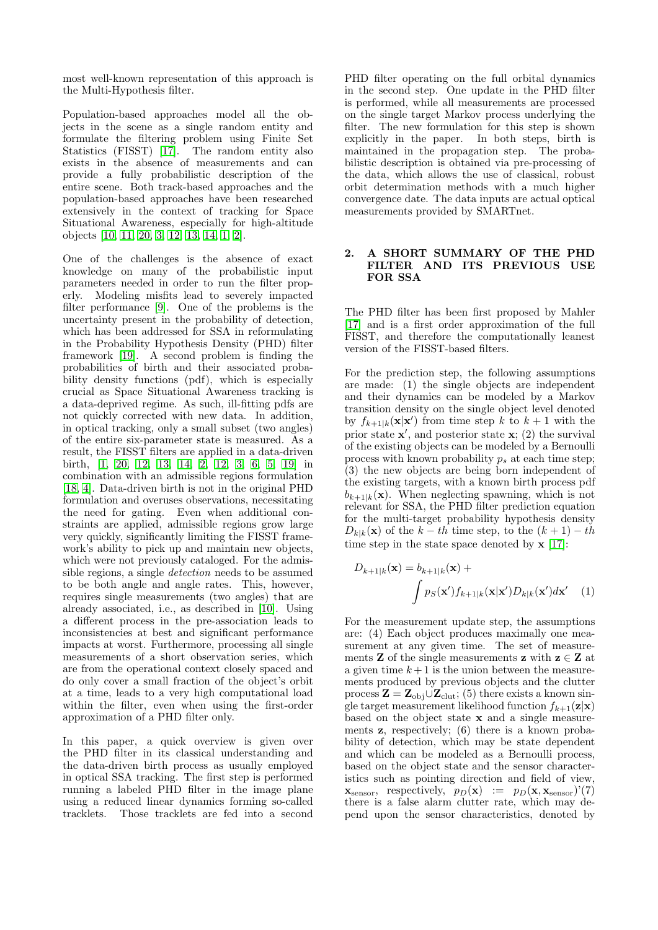most well-known representation of this approach is the Multi-Hypothesis filter.

Population-based approaches model all the objects in the scene as a single random entity and formulate the filtering problem using Finite Set Statistics (FISST) [\[17\]](#page-5-2). The random entity also exists in the absence of measurements and can provide a fully probabilistic description of the entire scene. Both track-based approaches and the population-based approaches have been researched extensively in the context of tracking for Space Situational Awareness, especially for high-altitude objects [\[10,](#page-5-3) [11,](#page-5-4) [20,](#page-5-5) [3,](#page-5-6) [12,](#page-5-7) [13,](#page-5-8) [14,](#page-5-9) [1,](#page-5-10) [2\]](#page-5-11).

One of the challenges is the absence of exact knowledge on many of the probabilistic input parameters needed in order to run the filter properly. Modeling misfits lead to severely impacted filter performance [\[9\]](#page-5-12). One of the problems is the uncertainty present in the probability of detection, which has been addressed for SSA in reformulating in the Probability Hypothesis Density (PHD) filter framework [\[19\]](#page-5-13). A second problem is finding the probabilities of birth and their associated probability density functions (pdf), which is especially crucial as Space Situational Awareness tracking is a data-deprived regime. As such, ill-fitting pdfs are not quickly corrected with new data. In addition, in optical tracking, only a small subset (two angles) of the entire six-parameter state is measured. As a result, the FISST filters are applied in a data-driven birth, [\[1,](#page-5-10) [20,](#page-5-5) [12,](#page-5-7) [13,](#page-5-8) [14,](#page-5-9) [2,](#page-5-11) [12,](#page-5-7) [3,](#page-5-6) [6,](#page-5-14) [5,](#page-5-15) [19\]](#page-5-13) in combination with an admissible regions formulation [\[18,](#page-5-16) [4\]](#page-5-17). Data-driven birth is not in the original PHD formulation and overuses observations, necessitating the need for gating. Even when additional constraints are applied, admissible regions grow large very quickly, significantly limiting the FISST framework's ability to pick up and maintain new objects, which were not previously cataloged. For the admissible regions, a single detection needs to be assumed to be both angle and angle rates. This, however, requires single measurements (two angles) that are already associated, i.e., as described in [\[10\]](#page-5-3). Using a different process in the pre-association leads to inconsistencies at best and significant performance impacts at worst. Furthermore, processing all single measurements of a short observation series, which are from the operational context closely spaced and do only cover a small fraction of the object's orbit at a time, leads to a very high computational load within the filter, even when using the first-order approximation of a PHD filter only.

In this paper, a quick overview is given over the PHD filter in its classical understanding and the data-driven birth process as usually employed in optical SSA tracking. The first step is performed running a labeled PHD filter in the image plane using a reduced linear dynamics forming so-called tracklets. Those tracklets are fed into a second PHD filter operating on the full orbital dynamics in the second step. One update in the PHD filter is performed, while all measurements are processed on the single target Markov process underlying the filter. The new formulation for this step is shown explicitly in the paper. In both steps, birth is maintained in the propagation step. The probabilistic description is obtained via pre-processing of the data, which allows the use of classical, robust orbit determination methods with a much higher convergence date. The data inputs are actual optical measurements provided by SMARTnet.

#### 2. A SHORT SUMMARY OF THE PHD FILTER AND ITS PREVIOUS USE FOR SSA

The PHD filter has been first proposed by Mahler [\[17\]](#page-5-2) and is a first order approximation of the full FISST, and therefore the computationally leanest version of the FISST-based filters.

For the prediction step, the following assumptions are made: (1) the single objects are independent and their dynamics can be modeled by a Markov transition density on the single object level denoted by  $f_{k+1|k}(\mathbf{x}|\mathbf{x}')$  from time step k to  $k+1$  with the prior state  $x'$ , and posterior state  $x$ ; (2) the survival of the existing objects can be modeled by a Bernoulli process with known probability  $p_s$  at each time step; (3) the new objects are being born independent of the existing targets, with a known birth process pdf  $b_{k+1|k}(\mathbf{x})$ . When neglecting spawning, which is not relevant for SSA, the PHD filter prediction equation for the multi-target probability hypothesis density  $D_{k|k}(\mathbf{x})$  of the  $k - th$  time step, to the  $(k + 1) - th$ time step in the state space denoted by  $x$  [\[17\]](#page-5-2):

<span id="page-1-0"></span>
$$
D_{k+1|k}(\mathbf{x}) = b_{k+1|k}(\mathbf{x}) +
$$

$$
\int p_S(\mathbf{x}') f_{k+1|k}(\mathbf{x}|\mathbf{x}') D_{k|k}(\mathbf{x}') d\mathbf{x}' \quad (1)
$$

For the measurement update step, the assumptions are: (4) Each object produces maximally one measurement at any given time. The set of measurements **Z** of the single measurements **z** with  $z \in Z$  at a given time  $k+1$  is the union between the measurements produced by previous objects and the clutter process  $\mathbf{Z} = \mathbf{Z}_{obj} \cup \mathbf{Z}_{clut}$ ; (5) there exists a known single target measurement likelihood function  $f_{k+1}(\mathbf{z}|\mathbf{x})$ based on the object state x and a single measurements z, respectively; (6) there is a known probability of detection, which may be state dependent and which can be modeled as a Bernoulli process, based on the object state and the sensor characteristics such as pointing direction and field of view,  $\mathbf{x}_{\text{sensor}}$ , respectively,  $p_D(\mathbf{x}) := p_D(\mathbf{x}, \mathbf{x}_{\text{sensor}})'(7)$ there is a false alarm clutter rate, which may depend upon the sensor characteristics, denoted by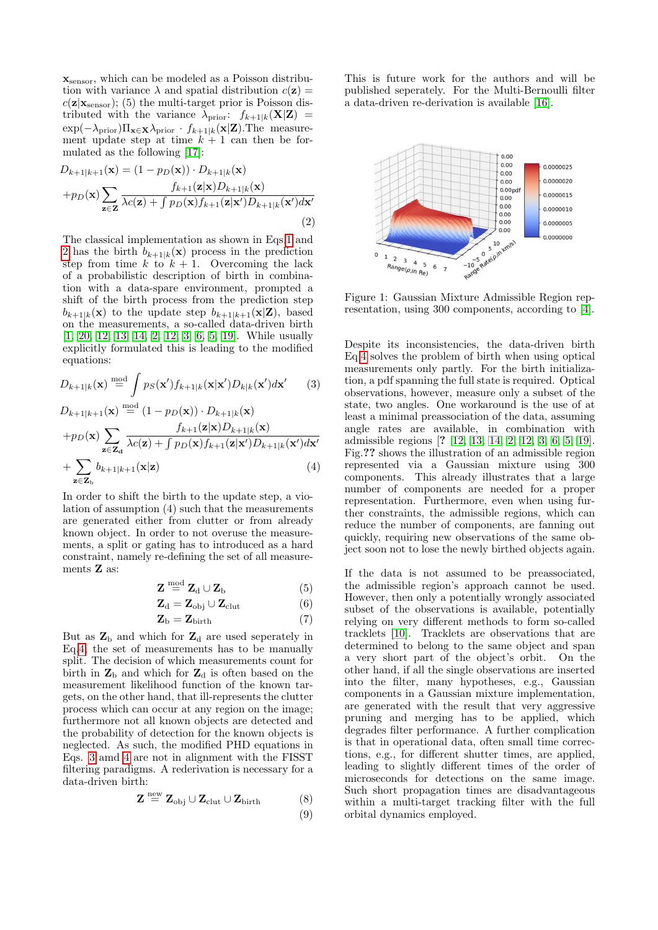$\mathbf{x}_{\text{sensor}},$  which can be modeled as a Poisson distribution with variance  $\lambda$  and spatial distribution  $c(\mathbf{z}) =$  $c(\mathbf{z}|\mathbf{x}_{\text{sensor}})$ ; (5) the multi-target prior is Poisson distributed with the variance  $\lambda_{\text{prior}}$ :  $f_{k+1|k}(\mathbf{X}|\mathbf{Z})$  =  $\exp(-\lambda_{\text{prior}})\Pi_{\mathbf{x}\in\mathbf{X}}\lambda_{\text{prior}}$  ·  $f_{k+1|k}(\mathbf{x}|\mathbf{Z}).$  The measurement update step at time  $k + 1$  can then be formulated as the following [\[17\]](#page-5-2):

<span id="page-2-0"></span>
$$
D_{k+1|k+1}(\mathbf{x}) = (1 - p_D(\mathbf{x})) \cdot D_{k+1|k}(\mathbf{x})
$$
  
+ 
$$
p_D(\mathbf{x}) \sum_{\mathbf{z} \in \mathbf{Z}} \frac{f_{k+1}(\mathbf{z}|\mathbf{x}) D_{k+1|k}(\mathbf{x})}{\lambda c(\mathbf{z}) + \int p_D(\mathbf{x}) f_{k+1}(\mathbf{z}|\mathbf{x}') D_{k+1|k}(\mathbf{x}') d\mathbf{x}'}
$$
  
(2)

The classical implementation as shown in Eqs[.1](#page-1-0) and [2](#page-2-0) has the birth  $b_{k+1|k}(\mathbf{x})$  process in the prediction step from time k to  $k + 1$ . Overcoming the lack of a probabilistic description of birth in combination with a data-spare environment, prompted a shift of the birth process from the prediction step  $b_{k+1|k}(\mathbf{x})$  to the update step  $b_{k+1|k+1}(\mathbf{x}|\mathbf{Z})$ , based on the measurements, a so-called data-driven birth [\[1,](#page-5-10) [20,](#page-5-5) [12,](#page-5-7) [13,](#page-5-8) [14,](#page-5-9) [2,](#page-5-11) [12,](#page-5-7) [3,](#page-5-6) [6,](#page-5-14) [5,](#page-5-15) [19\]](#page-5-13). While usually explicitly formulated this is leading to the modified equations:

<span id="page-2-1"></span>
$$
D_{k+1|k}(\mathbf{x}) \stackrel{\text{mod}}{=} \int p_S(\mathbf{x}') f_{k+1|k}(\mathbf{x}|\mathbf{x}') D_{k|k}(\mathbf{x}') d\mathbf{x}' \qquad (3)
$$

$$
D_{k+1|k+1}(\mathbf{x}) \stackrel{\text{mod}}{=} (1 - p_D(\mathbf{x})) \cdot D_{k+1|k}(\mathbf{x})
$$
  
+ 
$$
p_D(\mathbf{x}) \sum_{\mathbf{z} \in \mathbf{Z_d}} \frac{f_{k+1}(\mathbf{z}|\mathbf{x}) D_{k+1|k}(\mathbf{x})}{\lambda c(\mathbf{z}) + \int p_D(\mathbf{x}) f_{k+1}(\mathbf{z}|\mathbf{x}') D_{k+1|k}(\mathbf{x}') d\mathbf{x}'}
$$
  
+ 
$$
\sum_{\mathbf{z} \in \mathbf{Z_b}} b_{k+1|k+1}(\mathbf{x}|\mathbf{z})
$$
(4)

In order to shift the birth to the update step, a violation of assumption (4) such that the measurements are generated either from clutter or from already known object. In order to not overuse the measurements, a split or gating has to introduced as a hard constraint, namely re-defining the set of all measurements Z as:

$$
\mathbf{Z} \stackrel{\text{mod}}{=} \mathbf{Z}_{\text{d}} \cup \mathbf{Z}_{\text{b}} \tag{5}
$$

$$
\mathbf{Z}_{\mathrm{d}} = \mathbf{Z}_{\mathrm{obj}} \cup \mathbf{Z}_{\mathrm{clut}} \tag{6}
$$

$$
\mathbf{Z}_{\mathrm{b}} = \mathbf{Z}_{\mathrm{birth}} \tag{7}
$$

But as  $\mathbf{Z}_b$  and which for  $\mathbf{Z}_d$  are used seperately in Eq[.4,](#page-2-1) the set of measurements has to be manually split. The decision of which measurements count for birth in  $\mathbf{Z}_{\mathrm{b}}$  and which for  $\mathbf{Z}_{\mathrm{d}}$  is often based on the measurement likelihood function of the known targets, on the other hand, that ill-represents the clutter process which can occur at any region on the image; furthermore not all known objects are detected and the probability of detection for the known objects is neglected. As such, the modified PHD equations in Eqs. [3](#page-2-1) amd [4](#page-2-1) are not in alignment with the FISST filtering paradigms. A rederivation is necessary for a data-driven birth:

$$
\mathbf{Z} \stackrel{\text{new}}{=} \mathbf{Z}_{\text{obj}} \cup \mathbf{Z}_{\text{clut}} \cup \mathbf{Z}_{\text{birth}} \tag{8}
$$

$$
(9)
$$

This is future work for the authors and will be published seperately. For the Multi-Bernoulli filter a data-driven re-derivation is available [\[16\]](#page-5-18).



Figure 1: Gaussian Mixture Admissible Region representation, using 300 components, according to [\[4\]](#page-5-17).

Despite its inconsistencies, the data-driven birth Eq[.4](#page-2-1) solves the problem of birth when using optical measurements only partly. For the birth initialization, a pdf spanning the full state is required. Optical observations, however, measure only a subset of the state, two angles. One workaround is the use of at least a minimal preassociation of the data, assuming angle rates are available, in combination with admissible regions [? [12,](#page-5-7) [13,](#page-5-8) [14,](#page-5-9) [2,](#page-5-11) [12,](#page-5-7) [3,](#page-5-6) [6,](#page-5-14) [5,](#page-5-15) [19\]](#page-5-13). Fig.?? shows the illustration of an admissible region represented via a Gaussian mixture using 300 components. This already illustrates that a large number of components are needed for a proper representation. Furthermore, even when using further constraints, the admissible regions, which can reduce the number of components, are fanning out quickly, requiring new observations of the same object soon not to lose the newly birthed objects again.

If the data is not assumed to be preassociated, the admissible region's approach cannot be used. However, then only a potentially wrongly associated subset of the observations is available, potentially relying on very different methods to form so-called tracklets [\[10\]](#page-5-3). Tracklets are observations that are determined to belong to the same object and span a very short part of the object's orbit. On the other hand, if all the single observations are inserted into the filter, many hypotheses, e.g., Gaussian components in a Gaussian mixture implementation, are generated with the result that very aggressive pruning and merging has to be applied, which degrades filter performance. A further complication is that in operational data, often small time corrections, e.g., for different shutter times, are applied, leading to slightly different times of the order of microseconds for detections on the same image. Such short propagation times are disadvantageous within a multi-target tracking filter with the full orbital dynamics employed.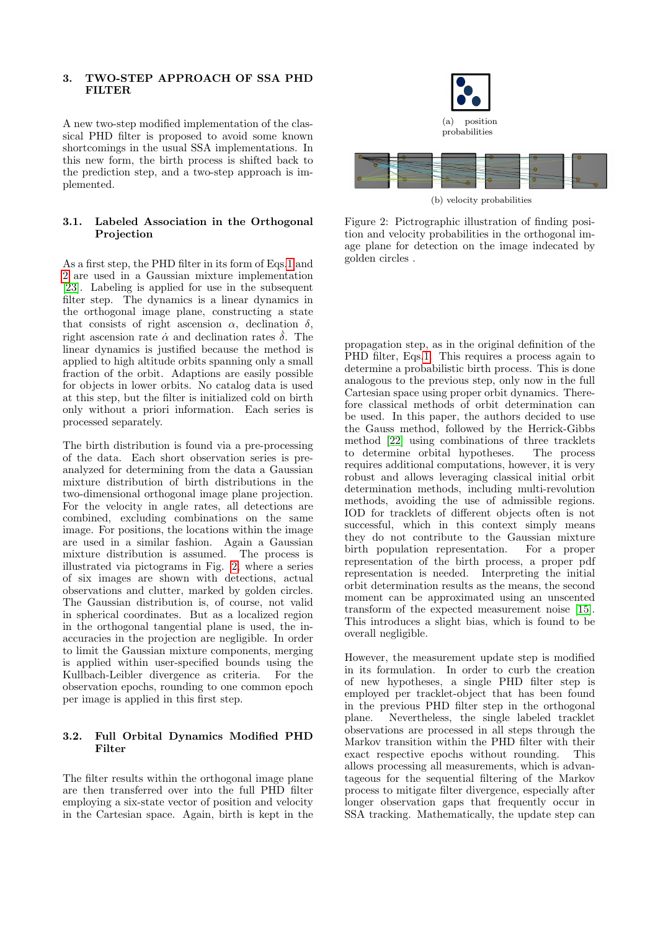#### 3. TWO-STEP APPROACH OF SSA PHD **FILTER**

A new two-step modified implementation of the classical PHD filter is proposed to avoid some known shortcomings in the usual SSA implementations. In this new form, the birth process is shifted back to the prediction step, and a two-step approach is implemented.

## 3.1. Labeled Association in the Orthogonal Projection

As a first step, the PHD filter in its form of Eqs[.1](#page-1-0) and [2](#page-2-0) are used in a Gaussian mixture implementation [\[23\]](#page-5-19). Labeling is applied for use in the subsequent filter step. The dynamics is a linear dynamics in the orthogonal image plane, constructing a state that consists of right ascension  $\alpha$ , declination  $\delta$ , right ascension rate  $\dot{\alpha}$  and declination rates  $\dot{\delta}$ . The linear dynamics is justified because the method is applied to high altitude orbits spanning only a small fraction of the orbit. Adaptions are easily possible for objects in lower orbits. No catalog data is used at this step, but the filter is initialized cold on birth only without a priori information. Each series is processed separately.

The birth distribution is found via a pre-processing of the data. Each short observation series is preanalyzed for determining from the data a Gaussian mixture distribution of birth distributions in the two-dimensional orthogonal image plane projection. For the velocity in angle rates, all detections are combined, excluding combinations on the same image. For positions, the locations within the image are used in a similar fashion. Again a Gaussian mixture distribution is assumed. The process is illustrated via pictograms in Fig. [2,](#page-3-0) where a series of six images are shown with detections, actual observations and clutter, marked by golden circles. The Gaussian distribution is, of course, not valid in spherical coordinates. But as a localized region in the orthogonal tangential plane is used, the inaccuracies in the projection are negligible. In order to limit the Gaussian mixture components, merging is applied within user-specified bounds using the Kullbach-Leibler divergence as criteria. For the observation epochs, rounding to one common epoch per image is applied in this first step.

## 3.2. Full Orbital Dynamics Modified PHD Filter

The filter results within the orthogonal image plane are then transferred over into the full PHD filter employing a six-state vector of position and velocity in the Cartesian space. Again, birth is kept in the



<span id="page-3-0"></span>

(b) velocity probabilities

Figure 2: Pictrographic illustration of finding position and velocity probabilities in the orthogonal image plane for detection on the image indecated by golden circles .

propagation step, as in the original definition of the PHD filter, Eqs[.1.](#page-1-0) This requires a process again to determine a probabilistic birth process. This is done analogous to the previous step, only now in the full Cartesian space using proper orbit dynamics. Therefore classical methods of orbit determination can be used. In this paper, the authors decided to use the Gauss method, followed by the Herrick-Gibbs method [\[22\]](#page-5-20) using combinations of three tracklets to determine orbital hypotheses. The process requires additional computations, however, it is very robust and allows leveraging classical initial orbit determination methods, including multi-revolution methods, avoiding the use of admissible regions. IOD for tracklets of different objects often is not successful, which in this context simply means they do not contribute to the Gaussian mixture<br>birth population representation. For a proper birth population representation. representation of the birth process, a proper pdf representation is needed. Interpreting the initial orbit determination results as the means, the second moment can be approximated using an unscented transform of the expected measurement noise [\[15\]](#page-5-21). This introduces a slight bias, which is found to be overall negligible.

However, the measurement update step is modified in its formulation. In order to curb the creation of new hypotheses, a single PHD filter step is employed per tracklet-object that has been found in the previous PHD filter step in the orthogonal plane. Nevertheless, the single labeled tracklet observations are processed in all steps through the Markov transition within the PHD filter with their exact respective epochs without rounding. This allows processing all measurements, which is advantageous for the sequential filtering of the Markov process to mitigate filter divergence, especially after longer observation gaps that frequently occur in SSA tracking. Mathematically, the update step can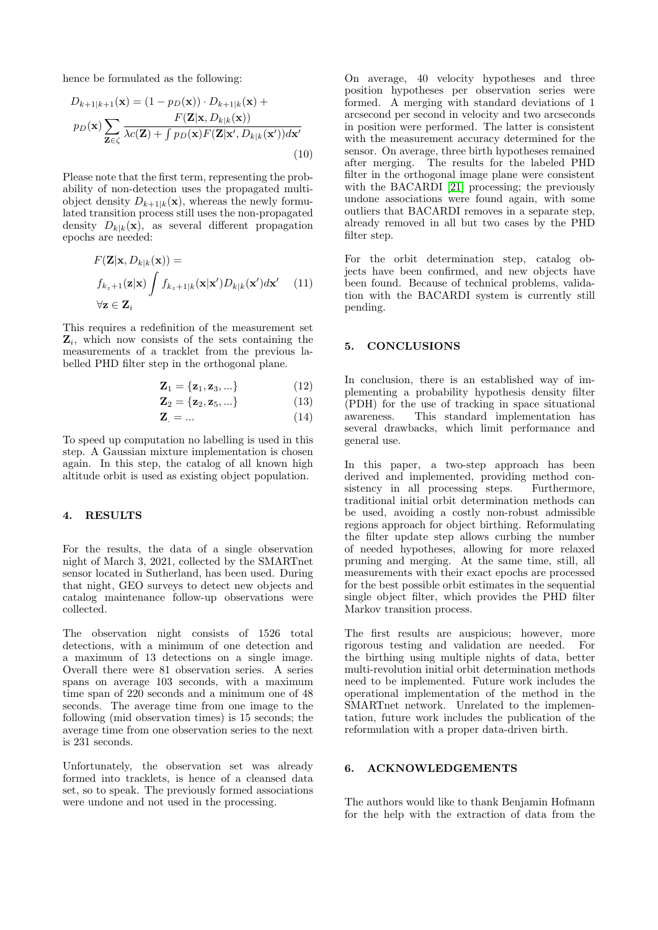hence be formulated as the following:

$$
D_{k+1|k+1}(\mathbf{x}) = (1 - p_D(\mathbf{x})) \cdot D_{k+1|k}(\mathbf{x}) +
$$

$$
p_D(\mathbf{x}) \sum_{\mathbf{Z} \in \zeta} \frac{F(\mathbf{Z}|\mathbf{x}, D_{k|k}(\mathbf{x}))}{\lambda c(\mathbf{Z}) + \int p_D(\mathbf{x}) F(\mathbf{Z}|\mathbf{x}', D_{k|k}(\mathbf{x}')) d\mathbf{x}'}
$$
(10)

Please note that the first term, representing the probability of non-detection uses the propagated multiobject density  $D_{k+1|k}(\mathbf{x})$ , whereas the newly formulated transition process still uses the non-propagated density  $D_{k|k}(\mathbf{x})$ , as several different propagation epochs are needed:

$$
F(\mathbf{Z}|\mathbf{x}, D_{k|k}(\mathbf{x})) =
$$
  
\n
$$
f_{k_z+1}(\mathbf{z}|\mathbf{x}) \int f_{k_z+1|k}(\mathbf{x}|\mathbf{x}') D_{k|k}(\mathbf{x}') d\mathbf{x}' \quad (11)
$$
  
\n
$$
\forall \mathbf{z} \in \mathbf{Z}_i
$$

This requires a redefinition of the measurement set  $\mathbf{Z}_i$ , which now consists of the sets containing the measurements of a tracklet from the previous labelled PHD filter step in the orthogonal plane.

$$
\mathbf{Z}_1 = \{ \mathbf{z}_1, \mathbf{z}_3, \ldots \} \tag{12}
$$

$$
\mathbf{Z}_2 = \{ \mathbf{z}_2, \mathbf{z}_5, \ldots \} \tag{13}
$$

$$
\mathbf{Z}_{\cdot} = \dots \tag{14}
$$

To speed up computation no labelling is used in this step. A Gaussian mixture implementation is chosen again. In this step, the catalog of all known high altitude orbit is used as existing object population.

## 4. RESULTS

For the results, the data of a single observation night of March 3, 2021, collected by the SMARTnet sensor located in Sutherland, has been used. During that night, GEO surveys to detect new objects and catalog maintenance follow-up observations were collected.

The observation night consists of 1526 total detections, with a minimum of one detection and a maximum of 13 detections on a single image. Overall there were 81 observation series. A series spans on average 103 seconds, with a maximum time span of 220 seconds and a minimum one of 48 seconds. The average time from one image to the following (mid observation times) is 15 seconds; the average time from one observation series to the next is 231 seconds.

Unfortunately, the observation set was already formed into tracklets, is hence of a cleansed data set, so to speak. The previously formed associations were undone and not used in the processing.

On average, 40 velocity hypotheses and three position hypotheses per observation series were formed. A merging with standard deviations of 1 arcsecond per second in velocity and two arcseconds in position were performed. The latter is consistent with the measurement accuracy determined for the sensor. On average, three birth hypotheses remained after merging. The results for the labeled PHD filter in the orthogonal image plane were consistent with the BACARDI [\[21\]](#page-5-22) processing; the previously undone associations were found again, with some outliers that BACARDI removes in a separate step, already removed in all but two cases by the PHD filter step.

For the orbit determination step, catalog objects have been confirmed, and new objects have been found. Because of technical problems, validation with the BACARDI system is currently still pending.

#### 5. CONCLUSIONS

In conclusion, there is an established way of implementing a probability hypothesis density filter (PDH) for the use of tracking in space situational awareness. This standard implementation has several drawbacks, which limit performance and general use.

In this paper, a two-step approach has been derived and implemented, providing method consistency in all processing steps. Furthermore, traditional initial orbit determination methods can be used, avoiding a costly non-robust admissible regions approach for object birthing. Reformulating the filter update step allows curbing the number of needed hypotheses, allowing for more relaxed pruning and merging. At the same time, still, all measurements with their exact epochs are processed for the best possible orbit estimates in the sequential single object filter, which provides the PHD filter Markov transition process.

The first results are auspicious; however, more rigorous testing and validation are needed. For the birthing using multiple nights of data, better multi-revolution initial orbit determination methods need to be implemented. Future work includes the operational implementation of the method in the SMARTnet network. Unrelated to the implementation, future work includes the publication of the reformulation with a proper data-driven birth.

## 6. ACKNOWLEDGEMENTS

The authors would like to thank Benjamin Hofmann for the help with the extraction of data from the